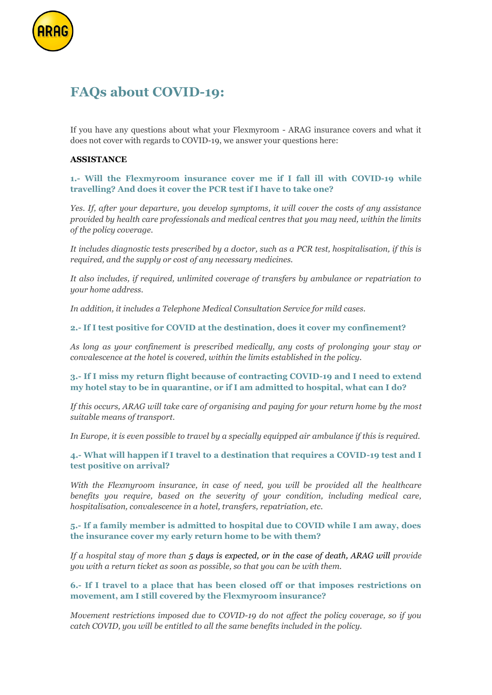

# **FAQs about COVID-19:**

If you have any questions about what your Flexmyroom - ARAG insurance covers and what it does not cover with regards to COVID-19, we answer your questions here:

### **ASSISTANCE**

**1.- Will the Flexmyroom insurance cover me if I fall ill with COVID-19 while travelling? And does it cover the PCR test if I have to take one?**

*Yes. If, after your departure, you develop symptoms, it will cover the costs of any assistance provided by health care professionals and medical centres that you may need, within the limits of the policy coverage.* 

*It includes diagnostic tests prescribed by a doctor, such as a PCR test, hospitalisation, if this is required, and the supply or cost of any necessary medicines.* 

*It also includes, if required, unlimited coverage of transfers by ambulance or repatriation to your home address.*

*In addition, it includes a Telephone Medical Consultation Service for mild cases.*

**2.- If I test positive for COVID at the destination, does it cover my confinement?**

*As long as your confinement is prescribed medically, any costs of prolonging your stay or convalescence at the hotel is covered, within the limits established in the policy.* 

# **3.- If I miss my return flight because of contracting COVID-19 and I need to extend my hotel stay to be in quarantine, or if I am admitted to hospital, what can I do?**

*If this occurs, ARAG will take care of organising and paying for your return home by the most suitable means of transport.*

*In Europe, it is even possible to travel by a specially equipped air ambulance if this is required.*

**4.- What will happen if I travel to a destination that requires a COVID-19 test and I test positive on arrival?**

*With the Flexmyroom insurance, in case of need, you will be provided all the healthcare benefits you require, based on the severity of your condition, including medical care, hospitalisation, convalescence in a hotel, transfers, repatriation, etc.*

**5.- If a family member is admitted to hospital due to COVID while I am away, does the insurance cover my early return home to be with them?**

*If a hospital stay of more than 5 days is expected, or in the case of death, ARAG will provide you with a return ticket as soon as possible, so that you can be with them.*

#### **6.- If I travel to a place that has been closed off or that imposes restrictions on movement, am I still covered by the Flexmyroom insurance?**

*Movement restrictions imposed due to COVID-19 do not affect the policy coverage, so if you catch COVID, you will be entitled to all the same benefits included in the policy.*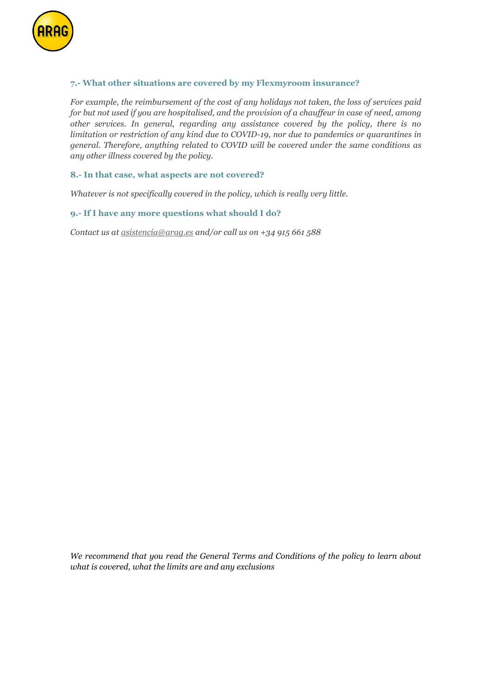

# **7.- What other situations are covered by my Flexmyroom insurance?**

*For example, the reimbursement of the cost of any holidays not taken, the loss of services paid for but not used if you are hospitalised, and the provision of a chauffeur in case of need, among other services. In general, regarding any assistance covered by the policy, there is no limitation or restriction of any kind due to COVID-19, nor due to pandemics or quarantines in general. Therefore, anything related to COVID will be covered under the same conditions as any other illness covered by the policy.*

#### **8.- In that case, what aspects are not covered?**

*Whatever is not specifically covered in the policy, which is really very little.*

# **9.- If I have any more questions what should I do?**

*Contact us a[t asistencia@arag.es](mailto:asistencia@arag.es) and/or call us on +34 915 661 588*

*We recommend that you read the General Terms and Conditions of the policy to learn about what is covered, what the limits are and any exclusions*